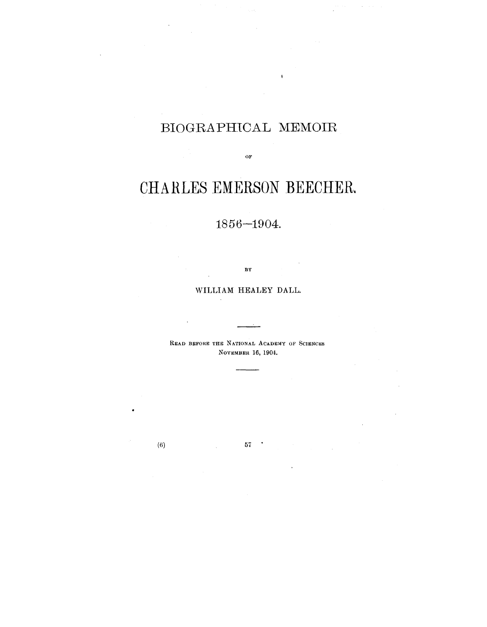# BIOGRAPHICAL MEMOIR

OF

# CHARLES EMERSON BEECHER.

## 1856-1904.

**BY**

## WILLIAM HEALEY DALL.

READ BEFORE THE NATIONAL ACADEMY OF SCIENCES NOVEMBER 16, 1904.

(6)  $57$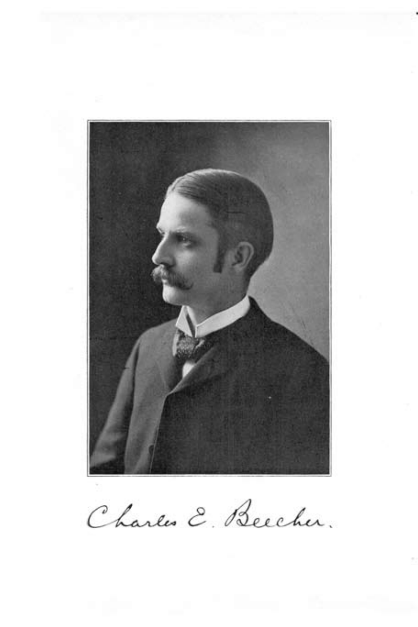

Charles E. Beecher.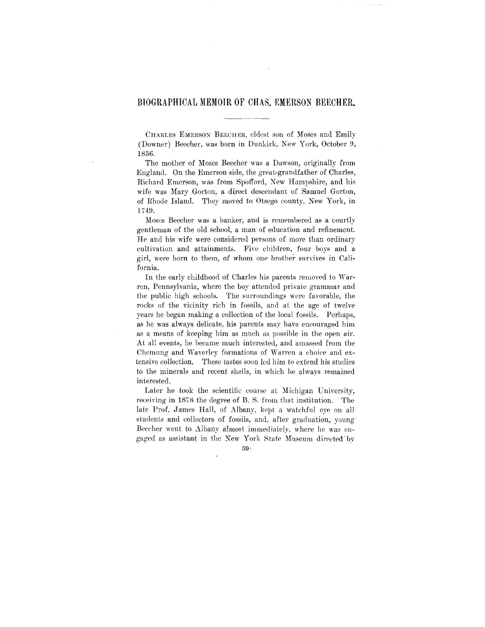## BIOGRAPHICAL MEMOIR OF CHAS. EMERSON BEKCHER.

CHARLES EMERSOX BEECHER, eldest son of Moses and Emily (Downer) Beecher, was born in Dunkirk, New York, October 9, 1856.

The mother of Moses Beecher was a Dawson, originally from England. On the Emerson side, the great-grandfather of Charles, Richard Emerson, was from Spofford, New Hampshire, and his wife was Mary Gorton, a direct descendant of Samuel Gorton, of Ehode Island. They moved to Otsego county, New York, in 1749.

Moses Beecher was a banker, and is remembered as a courtly gentleman of the old school, a man of education and refinement. He and his wife were considered persons of more than ordinary cultivation and attainments. Five children, four boys and a girl, were born to them, of whom one brother survives in California.

In the early childhood of Charles his parents removed to Warren, Pennsylvania, where the boy attended private grammar and the public high schools. The surroundings were favorable, the rocks of the vicinity rich in fossils, and at the age of twelve years he began making a collection of the local fossils. Perhaps, as he was always delicate, his parents may have encouraged him as a means of keeping him as much as possible in the open air. At all events, he became much interested, and amassed from the Chemung and Waverley formations of Warren a choice and extensive collection. These tastes soon led him to extend his studies to the minerals and recent shells, in which he always remained interested.

Later he took the scientific course at Michigan University, receiving in 1878 the degree of B. S. from that institution. The late Prof. James Hall, of Albany, kept a watchful eye on all students and collectors of fossils, and. after graduation, young Beecher went to Albany almost immediately, where he was engaged as assistant in the New York State Museum directed'by

 $59:$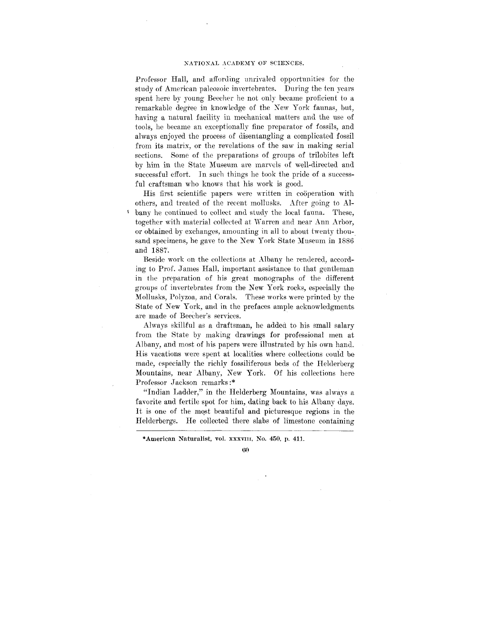Professor Hall, and affording unrivaled opportunities for the study of American paleozoic invertebrates. During the ten years spent here by young Beeeher he not only became proficient to a remarkable degree in knowledge of the New York faunas, but, having a natural facility in mechanical matters and the use of tools, he became an exceptionally fine preparator of fossils, and always enjoyed the process of disentangling a complicated fossil from its matrix, or the revelations of the saw in making serial sections. Some of the preparations of groups of trilobites left by him in the State Museum are marvels of well-directed and successful effort. In such things he took the pride of a successful craftsman who knows that his work is good.

His first scientific papers were written in cooperation with others, and treated of the recent mollusks. After going to Albany he continued to collect and study the local fauna. These, together with material collected at Warren and near Ann Arbor, or obtained by exchanges, amounting in all to about twenty thousand specimens, he gave to the New York State Museum in 1886 and 1887.

Beside work on the collections at Albany he rendered, according to Prof. James Hall, important assistance to that gentleman in the preparation of his great monographs of the different groups of invertebrates from the New York rocks, especially the Mollusks, Polyzoa, and Corals. These works were printed *hj* the State of New York, and in the prefaces ample acknowledgments are made of Beecher's services.

Always skillful as a draftsman, he added to his small salary from the State by making drawings for professional men at Albany, and most of his papers were illustrated by his own hand. His vacations were spent at localities where collections could be made, especially the richly fossiliferous beds of the Helderberg Mountains, near Albany, New York. Of his collections here Professor Jackson remarks:\*

"Indian Ladder," in the Helderberg Mountains, was always a favorite and fertile spot for him, dating back to his Albany days. It is one of the most beautiful and picturesque regions in the Helderbergs. He collected there slabs of limestone containing

<sup>•</sup>American Naturalist, vol. XXXVIII, No. 450, p. 411.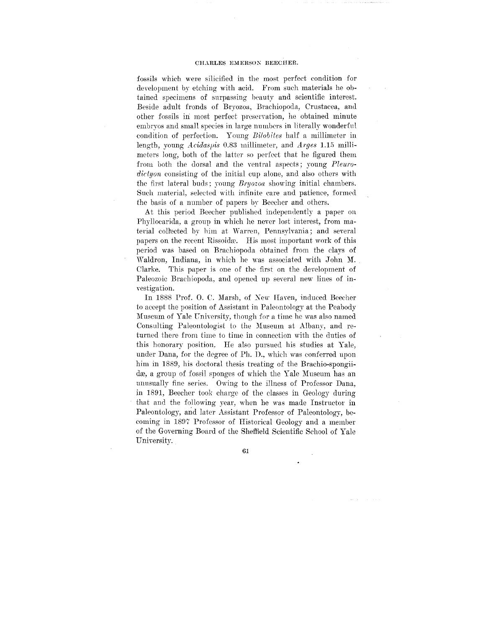fossils which were silicified in the most perfect condition for development by etching with acid. From such materials he obtained specimens of surpassing beauty and scientific interest. Beside adult fronds of Bryozoa, Brachiopoda, Crustacea, and other fossils in most perfect preservation, he obtained minute embryos and small species in large numbers in literally wonderful condition of perfection. Young *Bilobites* half a millimeter in length, young *Acidaspis* 0.83 millimeter, and *Arges* 1.15 millimeters long, both of the latter so perfect that he figured them from both the dorsal and the ventral aspects; young *Pleurodictyon* consisting of the initial cup alone, and also others with the first lateral buds; young *Bryozoa* showing initial chambers. Such material, selected with infinite care and patience, formed the basis of a number of papers by Beecher and others.

At this period Beecher published independently a paper on Phylloearida, a group in which he never lost interest, from material collected by him at Warren, Pennsylvania; and several papers on the recent Rissoidæ. His most important work of this period was based on Brachiopoda obtained from the clays of Waldron, Indiana, in which he was associated with John M. Clarke. This paper is one of the first on the development of Paleozoic Brachiopoda, and opened up several new lines of investigation.

In 1888 Prof. 0. C. Marsh, of Xew Haven, induced Beecher to accept the position of Assistant in Paleontology at the Peabody Museum of Yale University, though for a time he was also named Consulting Paleontologist to the Museum at Albany, and returned there from time to time in connection with the duties of this honorary position. He also pursued his studies at Yale, under Dana, for the degree of Ph. D., which was conferred upon him in 1889, his doctoral thesis treating of the Brachio-spongiidæ, a group of fossil sponges of which the Yale Museum has an unusually fine series. Owing to the illness of Professor Dana, in 1891, Beecher took charge of the classes in Geology during that and the following year, when he was made Instructor in Paleontology, and later Assistant Professor of Paleontology, becoming in 1897 Professor of Historical Geology and a member of the Governing Board of the Sheffield Scientific School of Yale University.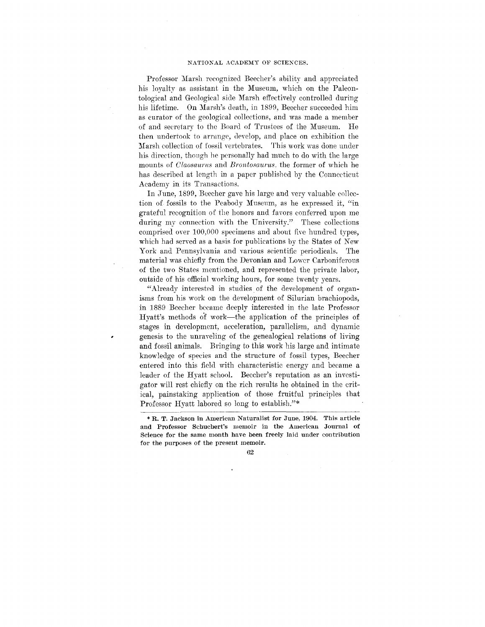Professor Marsh recognized Beecher's ability and appreciated his loyalty as assistant in the Museum, which on the Paleontological and Geological side Marsh effectively controlled during his lifetime. On Marsh's death, in 1899, Beecher succeeded him as curator of the geological collections, and was made a member of and secretary to the Board of Trustees of the Museum. He then undertook to arrange, develop, and place on exhibition the Marsh collection of fossil vertebrates. This work was done under his direction, though he personally had much to do with the large mounts of *Claosaurus* and *Brontosaurus.* the former of which he has described at length in a paper published by the Connecticut Academy in its Transactions.

In June, 1899, Beecher gave his large and very valuable collection of fossils to the Peabody Museum, as he expressed it, "in grateful recognition of the honors and favors conferred upon me during my connection with the University." These collections comprised over 100,000 specimens and about five hundred types, which had served as a basis for publications by the States of New York and Pennsylvania and various scientific periodicals. The material was chiefly from the Devonian and Lower Carboniferous of the two States mentioned, and represented the private labor, outside of his official working hours, for some twenty years.

"Already interested in studies of the development of organisms from his work on the development of Silurian brachiopods, in 1889 Beecher became deeply interested in the late Professor Hyatt's methods of work—the application of the principles of stages in development, acceleration, parallelism, and dynamic genesis to the unraveling of the genealogical relations of living and fossil animals. Bringing to this work his large and intimate knowledge of species and the structure of fossil types, Beecher entered into this field with characteristic energy and became a leader of the Hyatt school. Beecher's reputation as an investigator will rest chiefly on the rich results he obtained in the critical, painstaking application of those fruitful principles that Professor Hyatt labored so long to establish."\*

<sup>\*</sup> R. T. Jackson in American Naturalist for June, 1904. This article and Professor Sehuchert's memoir in the American Journal of Science for the same month have been freely laid under contribution for the purposes of the present memoir.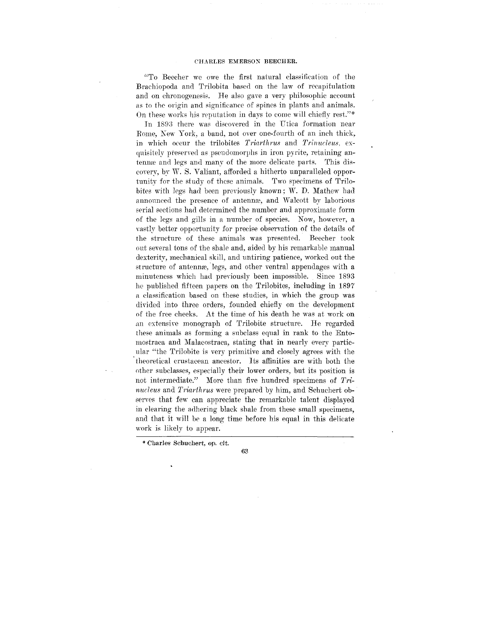"To Beecher we owe the first natural classification of the Brachiopoda and Trilobita based on the law of recapitulation and on chronogenesis. He also gave a very philosophic account as to the origin and significance of spines in plants and animals. On these works his reputation in days to come will chiefly rest."\*

In 1893 there was discovered in the Utica formation near Rome, Xew York, a band, not over one-fourth of an inch thick, in which occur the trilobites *Triarthrus* and *Trinucleus,* exquisitely preserved as pseudomorphs in iron pyrite, retaining antenna; and legs and many of the more delicate parts. This discovery, by W. S. Valiant, afforded a hitherto unparalleled opportunity for the study of these animals. Two specimens of Trilobites with legs had been previously known ; W. D. Mathew had announced the presence of antenna?, and Walcott by laborious serial sections had determined the number and approximate form of the legs and gills in a number of species. Now, however, a vastly better opportunity for precise observation of the details of the structure of these animals was presented. Beecher took out several tons of the shale and, aided by his remarkable manual dexterity, mechanical skill, and untiring patience, worked out the structure of antennas, legs, and other ventral appendages with a minuteness which had previously been impossible. Since 1893 he published fifteen papers on the Trilobites, including in 1897 a classification based on these studies, in which the group was divided into three orders, founded chiefly on the development of the free cheeks. At the time of his death he was at work on an extensive monograph of Trilobite structure. He regarded these animals as forming a subclass equal in rank to the Entomostraca and Malacostraca, stating that in nearly every particular "the Trilobite is very primitive and closely agrees with the theoretical crustacean ancestor. Its affinities are with both the other subclasses, especially their lower orders, but its position is not intermediate." More than five hundred specimens of *Trinucleus* and *Triarthrus* were prepared by him, and Schuchert observes that few can appreciate the remarkable talent displayed in clear the calculation of the serves that the calculations is served that the small species shall specified and the and the authorities which is determined that it will be a local interval in the delication of the delication of the delication of the delication of the delication of the delication of the delication of the delicati and that it will be a long time before his equal in this delicate work is likely to appear.

\* Cbarles Sehuchert, op. cit.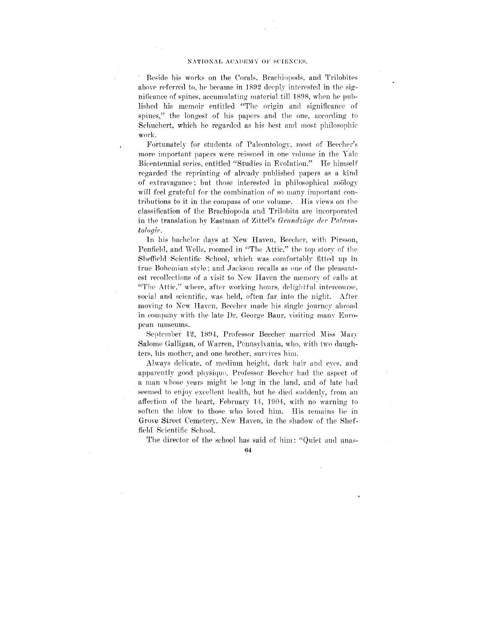#### NATIONAL ACADEMY OF SCIENCES.

Beside his works on the Corals, Braehiopods, and Trilobites above referred to, he became in 1892 deeply interested in the significance of spines, accumulating material till 1898, when he published his memoir entitled "The origin and significance of spines," the longest of his papers and the one, according to Schuchert, which he regarded as his best and most philosophic work.

Fortunately for students of Paleontology, most of Beecher's more important papers were reissued in one volume in the Yale Bicentennial series, entitled "Studies in Evolution." He himself regarded the reprinting of already published papers as a kind of extravagance; but those interested in philosophical zoology will feel grateful for the combination of so many important contributions to it in the compass of one volume. His views on the classification of the Brachiopoda and Trilobita are incorporated in the translation by Eastman of Zittel's Grundzüge der Palæon*tologie.*

In his bachelor days at New Haven, Beecher, with Pirsson, Penfield, and Wells, roomed in "The Attic," the top story of the Sheffield Scientific School, which was comfortably fitted up in true Bohemian style; and Jackson recalls as one of the pleasantest recollections of a visit to New Haven the memory of calls at "The Attic," where, after working hours, delightful intercourse, social and scientific, was held, often far into the night. After moving to New Haven, Beecher made his single journev abroad in company with the late Dr. George Baur, visiting many European museums.

September 12, 1894, Professor Beecher married Miss Mary Salome Galligan, of Warren, Pennsylvania, who, with two daughters, his mother, and one brother, survives him.

Always delicate, of medium height, dark hair and eyes, and apparently good physique. Professor Beecher had the aspect of a man whose years might be long in the land, and of late had seemed to enjoy excellent health, but he died suddenly, from an affection of the heart, February 14, 1904, with no warning to soften the blow to those who loved him. His remains lie in Grove Street Cemetery, New Haven, in the shadow of the Sheffield Scientific School.

The director of the school has said of him : "Quiet and unas-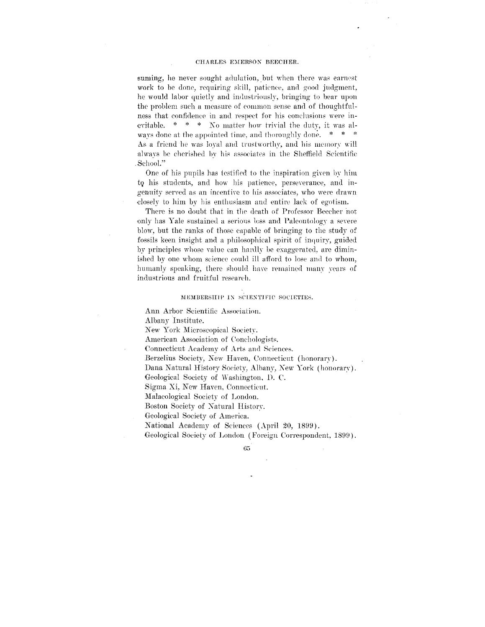#### CHARLES EMERSON BEECHER.

suming, he never sought adulation, but when there was earnest work to be done, requiring skill, patience, and good judgment, he would labor quietly and industriously, bringing to bear upon the problem such a measure of common sense and of thoughtfulness that confidence in and respect for his conclusions were inevitable. \* \* \* No matter how trivial the duty, it was always done at the appointed time, and thoroughly done. \* \* \* As a friend he was loyal and trustworthy, and his memory will always be cherished by his associates in the Sheffield Scientific .School."

One of his pupils has testified to the inspiration given by him to, his students, and how his patience, perseverance, and ingenuity served as an incentive to his associates, who were drawn closely to him by his enthusiasm and entire lack of egotism.

There is no doubt that in the death of Professor Beecher not only has Yale sustained a serious loss and Paleontology a severe blow, but the ranks of those capable of bringing to the study of fossils keen insight and a philosophical spirit of inquiry, guided by principles whose value can hardly be exaggerated, are diminished by one whom science could ill afford to lose and to whom, humanly speaking, there should have remained many years of industrious and fruitful research.

#### MEMBERSHIP IN SCIENTIFIC SOCIETIES.

Ann Arbor Scientific Association.

Albany Institute.

New York Microscopical Society.

American Association of Conchologists.

Connecticut Academy of Arts and Sciences.

Berzelius Society, New Haven, Connecticut (honorary).

Dana Natural History Society, Albany, *Kew* York (honorary).

Geological Society of Washington, D. C.

Sigma Xi, New Haven, Connecticut.

Malacological Society of London.

Boston Society of Natural History.

Geological Society of America.

National Academy of Sciences (April 20, 1899).

Geological Society of London (Foreign Correspondent, 1899).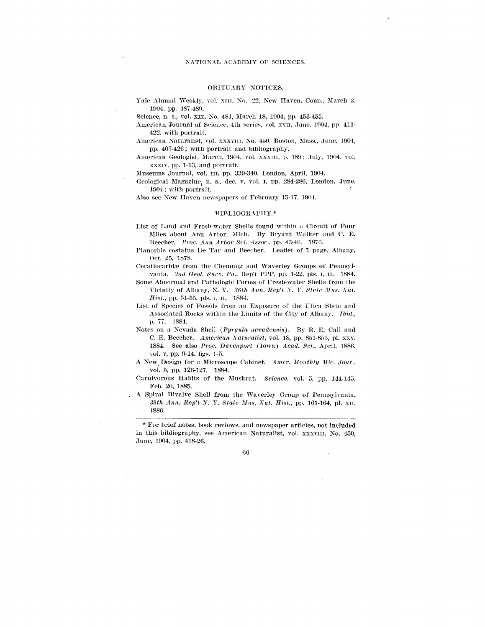#### OBITUARY NOTICES.

Yale Alumni Weekly, vol. XIII. No. 22, New Haven, Conn., March 2, 1904, pp. 487-489.

Science, n. s., vol. xix, No. 481, March 18, 1904, pp. 453-455.

American Journal of Science, 4th series, vol. xvII, June, 1904, pp. 411-422. with portrait.

- American Naturalist, vol. XXXVIII, No. 450, Boston, Mass., June, 1904, pp. 407-426; with portrait and bibliography.
- American Geologist, March, 1904, vol. xxx1II, p. 189; July, 1904, vol. xxxiv, pp. 1-13, and portrait.

Museums Journal, vol. in, pp. 339-340, London, April, 1904.

Geological Magazine; n. s.. dee. v, vol. I, pp. 284-286, London, June, 1904; with portrait.

Also see New Haven newspapers of February 15-17, 1904.

#### BIBLIOGRAPHY.\*

- List of Land and Fresh-water Shells found within a Circuit of Four Miles about Ann Arbor, Mich. By Bryant Walker and C. E. Beecher. *Proo. Ann Arbor Set. Assoc,* pp. 43-46. 1876.
- Plauorbis costatus De Tar and Beecher. Leaflet of 1 page, Albany, Oct. 25, 1878.
- Ceratiocaridse from the Chemung and Waverley Groups of Pennsylvania. *2nd Qeol. Surv. Pa,,* Rep't PPP, pp. 1-22, pis. i, n. 1884.
- Some Abnormal and Pathologic Forms of Fresh-water Shells from the Vicinity of Albany, N. Y. *36th Ann. Rep't* Y. *Y. State Mus. Nat. Hist.,* pp. 51-55, pis. i, II. 1884.
- List of Species of Fossils from an Exposure of the Utica Slate and Associated Rocks within the Limits of the City of Albany. *Ibid.,* p. 77. 1884.
- Notes on a Nevada Shell *(Pyrgula nevadensis).* By R. E. Call and C. E. Beecher. *American Naturalist,* vol. 18, pp. 851-855, pi. xxv. 1884. See also *Proc. Davenport* (Iowa) *Acad. Sci.,* April, 1886, vol. v, pp. 9-14. figs. 1-5.
- A New Design for a Microscope Cabinet. *Amer. Monthly Mic. Jour.,* vol. 5, pp. 126-127. 1884.
- Carnivorous Habits of the Muskrat. *Science,* vol. 5, pp. 144-145. Feb. 20, 1885.
- A Spiral Bivalve Shell from the Waverley Group of Pennsylvania. *39th Ann, Rep't N. Y. State Mus. Nat. Hist.,* pp. 161-164, pi. XIT. T886.

\* For brief notes, book reviews, and newspaper articles, not included in this bibliography, see American Naturalist, vol. xxxvIII, No. 450, June, 1904. pp. 418-26.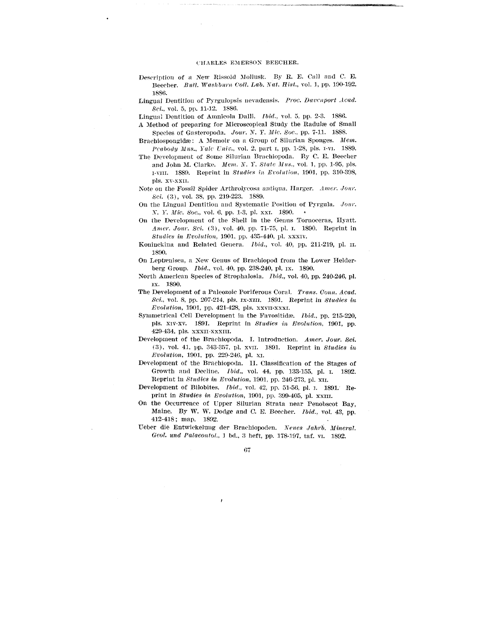- Description of a New Rissoid Mollusk. By B. E. Call and C. E. Beecher. *Bull. Washburn Coll. Lab. Xat.* Hist., vol. 1, pp. 190-192. 1886.
- Lingual Dentition of Pyrgulopsis nevadensis. *Proc. Davenport Acad. Set.,* vol. 5, pp. 11-12. 1886.

Lingual Dentition of Amnicola Dalli. *Ibid.,* vol. 5. pp. 2-3. 1886.

- A Method of preparing for Microscopical Study the Radulse of Small Species of Gasteropoda. *Jour. N. Y. Mie. Soc,* pp. 7-11. 1888.
- Brachiospongidæ: A Memoir on a Group of Silurian Sponges. Mem. *Pcubody Mus., Yale Univ.,* vol. 2, part i, pp. 1-28, pis. I-VI. 1889.
- The Development of Some Silurian Brachiopoda. By C. E. Beecher and John M. Clarke. *Mem. X. Y. State Mus.,* vol. 1, pp. 1-95, pis. I-VIII. 1889. Reprint in *Studies in Evolution,* 1901, pp. 310-308, pis. xv-xxn.
- Note on the Fossil Spider Arthrolycosa antiqua, Harger. *Amer. Jour. Set.* (3), vol. 38, pp. 219-223. 1889.
- On the Lingual Dentition and Systematic Position of Pyrgula. *Jour. X. Y. Mic. Soc,* vol. 6. pp. 1-3, pi. xxi. 1890.
- On the Development of the Shell in the Genus Tornoceras, Hyatt. *Amer. Jour. Sei.* (3), vol. 40, pp. 71-75, pi. i. 1890. Reprint in *Studies in Evolution,* 1901, pp. 435-440, pi. xxxiv.
- Koninckina and Related Genera. *Ibid.,* vol. 40, pp. 211-219, pi. II. 1890.
- On Leptrenisca, a New Genus of Brachiopod from the Lower Helderberg Group. *Ibid.,* vol. 40, pp. 238-240, pi. ix. 1890.
- North American Species of Strophalosia. *Ibid.,* vol. 40, pp. 240-246, pi. ix. 1890.
- The Development of a Paleozoic Poriferous Coral. *Trans. Conn. Acad. Sei.,* vol. 8, pp. 207-214, pis. ix-xm. 1891. Reprint in *Studies in Evolution,* 1901, pp. 421-428, pis. XXVII-XXXI.
- Symmetrical Cell Development in the Favositidre. *Ibid.,* pp. 215-220, pis. xiv-xv. 1891. Reprint in *Studies in Evolution,* 1901, pp. 429-434, pis. xxxn-xxxni.
- Development of the Brachiopoda. I. Introduction. *Amer. Jour. Sei.* (3), vol. 41, pp. 343-357, pi. xvn. 1891. Reprint in *Studies in Evolution,* 1901, pp. 229-246, pi. xi.
- Development of the Brachiopoda. II. Classification of the Stages of Growth and Decline. *Ibid.,* vol. 44. pp. 133-155, pi. I. 1892. Reprint in *Studies in Evolution,* 1901, pp. 246-273, pi. xn.
- Development of Bilobites. *Ibid.,* vol. 42, pp. 51-56, pi. I. 1891. Reprint in *Studies in Evolution,* 1901, pp. 399-405, pi. XXIII.
- On the Occurrence of Upper Silurian Strata near Penobseot Bay, Maine. By W. W. Dodge and C. E. Beecher. *Ibid.,* vol. 43, pp. 412-418; map. 1892.
- Ueber die Entwickelung der Brachiopoden. *Seues Jahrb. Mineral. Geol. und PalaeontoL,* 1 bd., 3 heft, pp. 178-197, taf. vi. 1892.

ı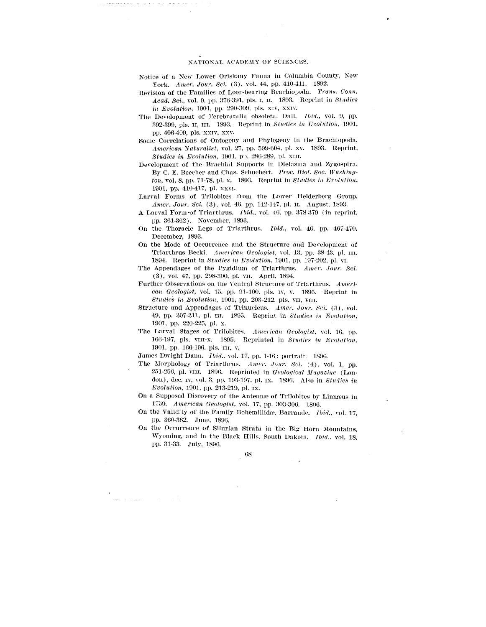#### NATIONAL ACADEMY OF SCIENCES.

- Notice of a New Lower Oriskany Fauna in Columbia County. New York. Amer. Jour. Sci. (3), vol. 44, pp. 410-411. 1892.
- Revision of the Families of Loop-bearing Brachiopoda. *Trans. Conn. Acad. Sci.,* vol. 9, pp. 376-391, pis. i, n. 1893. Reprint in *Studies in Evolution,* 1901, pp. 290-309, pis. xiv, xxiv.
- The Development of Terebratalia obsoleta. Dull. *Ibid.,* vol. 9, pp. 392-399, pis. II, in. 1893. Reprint in *Studies in Evolution.* 1901, pp. 406-409, pis. xxiv, xxv.
- Some Correlations of Ontogeny and Phylogeny in the Brachiopoda. *American Naturalist,* vol. 27, pp. 599-604, pi. xv. 1893. Reprint. *Studies in Evolution,* 1901, pp. 286-289, pi. xm.
- Development of the Brachial Supports in Dielasina and Zygospira. By C. B. Beeeher and Chas. Schuchert. *Proe. Biol. Soc. Washington,* vol. 8, pp. 71-78, pi. x. 1893. Reprint in *Studies in Evolution,* 1901, pp. 410-417, pi. xxvi.
- Larval Forms of Trilobites from the Lower Helderberg Group. *Amer. Jour. Sci.* (3), vol. 46, pp. 142-147, pl. II. August, 1893.
- A Larval Form-of Triarthrus. *Ibid.,* vol. 46, pp. 378-379 (in reprint, pp. 361-362). November, 1893.
- On the Thoracic Legs of Triarthrus. *Ibid.,* vol. 46. pp. 467-470. December, 1893.
- On the Mode of Occurrence and the Structure and Development of Triarthrus Becki. *American Geologist,* vol. 13, pp. 38-43. pi. in. 1894. Reprint in *Studies in Evolution,* 1901, pp. 197-202, pi. vi.
- The Appendages of the Pygidium of Triarthrus. *Amer. Jour. Sei.* (3), vol. 47, pp. 298-300. pi. vn. April, 1894.
- Further Observations on the Ventral Structure of Triarthrus. *American Geologist,* vol. 15. pp. 91-100. pis. IV, v. 1895. Reprint in *Studies in Evolution,* 1901, pp. 203-212, pis. vn, vin.
- Structure and Appendages of Trinucleus. Amer. Jour. Sci. (3), vol. 49, pp. 307-311, pi. in. 1895. Reprint in *Studies in Evolution,* 1901. pp. 220-225, pi. x.
- The Larval Stages of Trilobites. *American Geologist,* vol. 16, pp. 166-197, pis. vin-x. 1895. Reprinted in *Studies in Evolution,* 1901, pp. 166-196, pis. m. v.

James Dwight Dana. *Ibid.,* vol. 17, pp. 1-16; portrait. 1896.

- The Morphology of Triarthrus. Amer. Jour. Sci. (4), vol. 1, pp. 251-256, pi. vni. 1896. Reprinted in *Geological Mugusinc* (London), dec. iv, vol. 3, pp. 193-197. pi. ix. 1896. Also in *Studies in Evolution,* 1901, pp. 213-219, pi. ix.
- On a Supposed Discovery of the Antennas of Trilobites by Linnceus in 1759. *American Geologist,* vol. 17, pp. 303-306. 1896.
- On the Validity of the Family Bohemillidae, Barrande. *Ibid.*, vol. 17, pp. 360-362. June, 1896.
- On the Occurrence of Silurian Strata in the Big Horn Mountains, Wyoming, and in the Black Hills. South Dakota. *Ibid.,* vol. 18, pp. 31-33. July, 1890.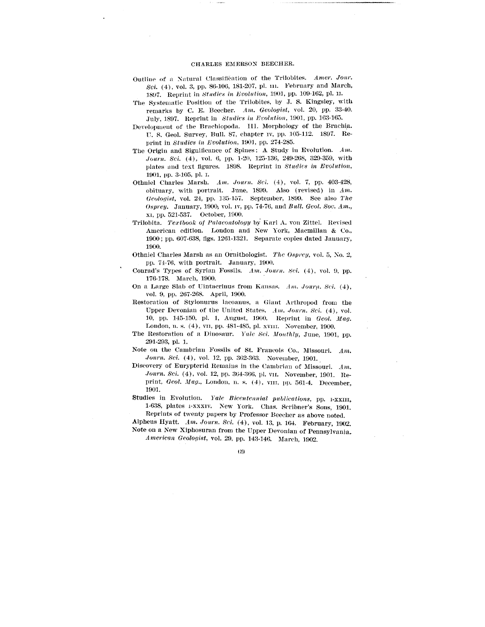#### CHARLES EMERSON BEECHER.

- Outline of n Natural Classification of the Trilobites. *Amer. Jour. Sci.* (4), vol. 3, pp. 86-106, 181-207, pi. in. February and March, 1897. Reprint in *studies in Evolution,* 190], pp. 109-162, pi. n.
- The Systematic Position of the Trilobites, by J. S. Kingsley, with remarks by C. E. Beecher. *Am. Geologist,* vol. 20, pp. 33-40. July, 1897. Keprint in *Studies in Evolution,* 1901, pp. 163-165.
- Development of the Brachiopoda. III. Morphology of the Brachia. U. S. Geol. Survey, Bull. 87, chapter iv, pp. 105-112. 1897. Reprint in *Studies in Evolution,* 190], pp. 274-285.
- The Origin and Significance of Spines: A Study iu Evolution. *Am. Journ. Sci.* (4), vol. 6, pp. 1-20, 125-136, 249-268, 329-359, with plates and text figures. 1898. Reprint in *Studies in Evolution,* 1901, pp. 3-105, pi. i.
- Othniel Charles Marsh. *Am. Journ. Sci.* (4), vol. 7, pp. 403-428, obituary, with portrait. June, 1899. Also (revised) in *Am. Geologist,* vol. 24, pp. 135-157. September, 1899. See also *The Osprey.* January, 1900; vol. iv, pp. 74-76, and *Bull. Geol. Soc. Am.,* xi, pp. 521-537. October, 1900.
- Trilobita. *Textbook of Palaeontology* by Karl A. von Zittel. Revised American edition. London and New York, Macmillan & Co., 1900; pp. 607-638, figs. 1261-1321. Separate copies dated January, 1900.
- Othniel Charles Marsh as an Ornithologist. *Tlic Osprey,* vol. 5, No. 2,, pp. 74-76, with portrait. January, 1900.
- Conrad's Types of Syrian Fossils. *Am. Journ. Sci.* (4), vol. 9, pp. 176-178. March, 1900.
- On a Large Slab of Uintacrinus from Kansas. *Am. Journ. Sei.* (4), vol. 9, pp. 267-268. April, 1900.
- Restoration of Stylonurus lacoanus, a Giant Arthropod from the Upper Devonian of the United States. *Am. Journ. Sci.* (4), vol. 10, pp. 145-150, pi. 1, August, 1900. Reprint in *Geol. Mag.* London, n. s. (4), vii, pp. 481-485, pl. xviii. November, 1900.
- The Restoration of a Dinosaur. *Yale Sci. Monthly,* June, 1901, pp. 291-293, pi. 1.
- Note on the Cambrian Fossils of St. Francois Co., Missouri. *Am. Journ, Sci,* (4), vol. 12, pp. 362-363. November, 1901.
- Discovery of Eurypterid Remains in the Cambrian of Missouri. *Am, Journ. Sci.* (4), vol. 12, pp. 364-366, pi. vn. November, 1901. Reprint, *Geol, Mag.,* London, n. s. (4), vin, pp. 561-4. December, 1901.
- Studies in Evolution. Yale Bicentennial publications, pp. I-XXIII, 1-638, plates i-xxxiv. New York. Chas. Scribner's Sons, 1901. Reprints of twenty papers by Professor Beecher as above noted.

Alpheus Hyatt. *Am. Journ, Sci,* (4), vol. 13. p. 164. February, 1902.

Note on a New Xiphosuran from the Upper Devonian of Pennsylvania. *American Geologist,* vol. 29, pp. 143-146. March, 1902.